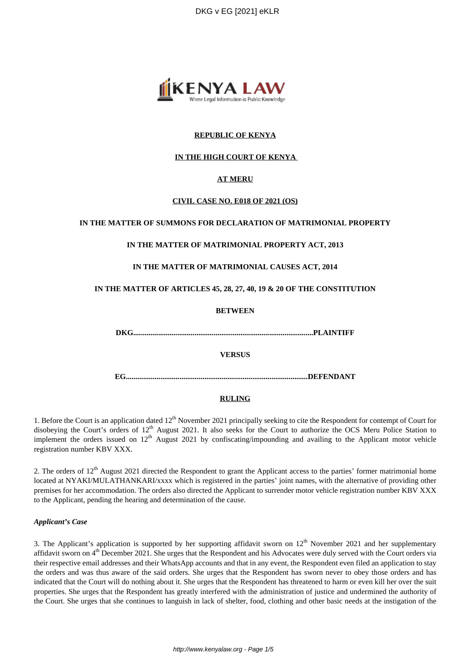DKG v EG [2021] eKLR



# **REPUBLIC OF KENYA**

# **IN THE HIGH COURT OF KENYA**

# **AT MERU**

# **CIVIL CASE NO. E018 OF 2021 (OS)**

### **IN THE MATTER OF SUMMONS FOR DECLARATION OF MATRIMONIAL PROPERTY**

### **IN THE MATTER OF MATRIMONIAL PROPERTY ACT, 2013**

### **IN THE MATTER OF MATRIMONIAL CAUSES ACT, 2014**

### **IN THE MATTER OF ARTICLES 45, 28, 27, 40, 19 & 20 OF THE CONSTITUTION**

### **BETWEEN**

**DKG..............................................................................................PLAINTIFF**

#### **VERSUS**

**EG...............................................................................................DEFENDANT**

#### **RULING**

1. Before the Court is an application dated 12<sup>th</sup> November 2021 principally seeking to cite the Respondent for contempt of Court for disobeying the Court's orders of  $12<sup>th</sup>$  August 2021. It also seeks for the Court to authorize the OCS Meru Police Station to implement the orders issued on  $12<sup>th</sup>$  August 2021 by confiscating/impounding and availing to the Applicant motor vehicle registration number KBV XXX.

2. The orders of  $12<sup>th</sup>$  August 2021 directed the Respondent to grant the Applicant access to the parties' former matrimonial home located at NYAKI/MULATHANKARI/xxxx which is registered in the parties' joint names, with the alternative of providing other premises for her accommodation. The orders also directed the Applicant to surrender motor vehicle registration number KBV XXX to the Applicant, pending the hearing and determination of the cause.

### *Applicant's Case*

3. The Applicant's application is supported by her supporting affidavit sworn on  $12<sup>th</sup>$  November 2021 and her supplementary affidavit sworn on  $4<sup>th</sup>$  December 2021. She urges that the Respondent and his Advocates were duly served with the Court orders via their respective email addresses and their WhatsApp accounts and that in any event, the Respondent even filed an application to stay the orders and was thus aware of the said orders. She urges that the Respondent has sworn never to obey those orders and has indicated that the Court will do nothing about it. She urges that the Respondent has threatened to harm or even kill her over the suit properties. She urges that the Respondent has greatly interfered with the administration of justice and undermined the authority of the Court. She urges that she continues to languish in lack of shelter, food, clothing and other basic needs at the instigation of the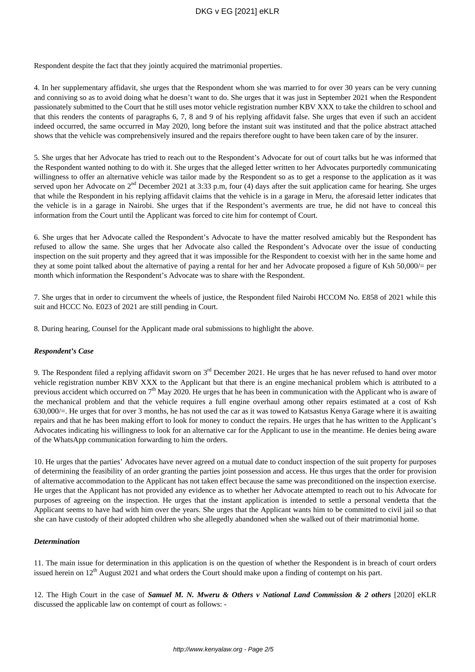# DKG v EG [2021] eKLR

Respondent despite the fact that they jointly acquired the matrimonial properties.

4. In her supplementary affidavit, she urges that the Respondent whom she was married to for over 30 years can be very cunning and conniving so as to avoid doing what he doesn't want to do. She urges that it was just in September 2021 when the Respondent passionately submitted to the Court that he still uses motor vehicle registration number KBV XXX to take the children to school and that this renders the contents of paragraphs 6, 7, 8 and 9 of his replying affidavit false. She urges that even if such an accident indeed occurred, the same occurred in May 2020, long before the instant suit was instituted and that the police abstract attached shows that the vehicle was comprehensively insured and the repairs therefore ought to have been taken care of by the insurer.

5. She urges that her Advocate has tried to reach out to the Respondent's Advocate for out of court talks but he was informed that the Respondent wanted nothing to do with it. She urges that the alleged letter written to her Advocates purportedly communicating willingness to offer an alternative vehicle was tailor made by the Respondent so as to get a response to the application as it was served upon her Advocate on 2<sup>nd</sup> December 2021 at 3:33 p.m, four (4) days after the suit application came for hearing. She urges that while the Respondent in his replying affidavit claims that the vehicle is in a garage in Meru, the aforesaid letter indicates that the vehicle is in a garage in Nairobi. She urges that if the Respondent's averments are true, he did not have to conceal this information from the Court until the Applicant was forced to cite him for contempt of Court.

6. She urges that her Advocate called the Respondent's Advocate to have the matter resolved amicably but the Respondent has refused to allow the same. She urges that her Advocate also called the Respondent's Advocate over the issue of conducting inspection on the suit property and they agreed that it was impossible for the Respondent to coexist with her in the same home and they at some point talked about the alternative of paying a rental for her and her Advocate proposed a figure of Ksh 50,000/= per month which information the Respondent's Advocate was to share with the Respondent.

7. She urges that in order to circumvent the wheels of justice, the Respondent filed Nairobi HCCOM No. E858 of 2021 while this suit and HCCC No. E023 of 2021 are still pending in Court.

8. During hearing, Counsel for the Applicant made oral submissions to highlight the above.

### *Respondent's Case*

9. The Respondent filed a replying affidavit sworn on 3rd December 2021. He urges that he has never refused to hand over motor vehicle registration number KBV XXX to the Applicant but that there is an engine mechanical problem which is attributed to a previous accident which occurred on  $7<sup>th</sup>$  May 2020. He urges that he has been in communication with the Applicant who is aware of the mechanical problem and that the vehicle requires a full engine overhaul among other repairs estimated at a cost of Ksh 630,000/=. He urges that for over 3 months, he has not used the car as it was towed to Katsastus Kenya Garage where it is awaiting repairs and that he has been making effort to look for money to conduct the repairs. He urges that he has written to the Applicant's Advocates indicating his willingness to look for an alternative car for the Applicant to use in the meantime. He denies being aware of the WhatsApp communication forwarding to him the orders.

10. He urges that the parties' Advocates have never agreed on a mutual date to conduct inspection of the suit property for purposes of determining the feasibility of an order granting the parties joint possession and access. He thus urges that the order for provision of alternative accommodation to the Applicant has not taken effect because the same was preconditioned on the inspection exercise. He urges that the Applicant has not provided any evidence as to whether her Advocate attempted to reach out to his Advocate for purposes of agreeing on the inspection. He urges that the instant application is intended to settle a personal vendetta that the Applicant seems to have had with him over the years. She urges that the Applicant wants him to be committed to civil jail so that she can have custody of their adopted children who she allegedly abandoned when she walked out of their matrimonial home.

#### *Determination*

11. The main issue for determination in this application is on the question of whether the Respondent is in breach of court orders issued herein on 12<sup>th</sup> August 2021 and what orders the Court should make upon a finding of contempt on his part.

12. The High Court in the case of *Samuel M. N. Mweru & Others v National Land Commission & 2 others* [2020] eKLR discussed the applicable law on contempt of court as follows: -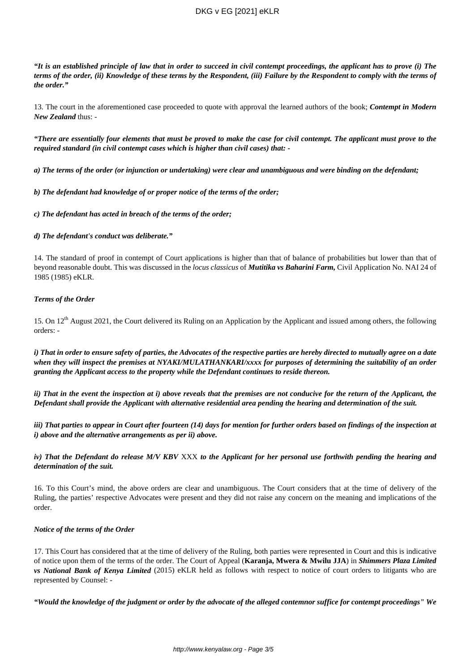# DKG v EG [2021] eKLR

*"It is an established principle of law that in order to succeed in civil contempt proceedings, the applicant has to prove (i) The terms of the order, (ii) Knowledge of these terms by the Respondent, (iii) Failure by the Respondent to comply with the terms of the order."*

13. The court in the aforementioned case proceeded to quote with approval the learned authors of the book; *Contempt in Modern New Zealand* thus: -

*"There are essentially four elements that must be proved to make the case for civil contempt. The applicant must prove to the required standard (in civil contempt cases which is higher than civil cases) that: -*

*a) The terms of the order (or injunction or undertaking) were clear and unambiguous and were binding on the defendant;*

### *b) The defendant had knowledge of or proper notice of the terms of the order;*

*c) The defendant has acted in breach of the terms of the order;*

### *d) The defendant's conduct was deliberate."*

14. The standard of proof in contempt of Court applications is higher than that of balance of probabilities but lower than that of beyond reasonable doubt. This was discussed in the *locus classicus* of *Mutitika vs Baharini Farm,* Civil Application No. NAI 24 of 1985 (1985) eKLR.

### *Terms of the Order*

15. On 12<sup>th</sup> August 2021, the Court delivered its Ruling on an Application by the Applicant and issued among others, the following orders: -

*i) That in order to ensure safety of parties, the Advocates of the respective parties are hereby directed to mutually agree on a date when they will inspect the premises at NYAKI/MULATHANKARI/xxxx for purposes of determining the suitability of an order granting the Applicant access to the property while the Defendant continues to reside thereon.*

*ii) That in the event the inspection at i) above reveals that the premises are not conducive for the return of the Applicant, the Defendant shall provide the Applicant with alternative residential area pending the hearing and determination of the suit.*

*iii) That parties to appear in Court after fourteen (14) days for mention for further orders based on findings of the inspection at i) above and the alternative arrangements as per ii) above.*

### *iv) That the Defendant do release M/V KBV* XXX *to the Applicant for her personal use forthwith pending the hearing and determination of the suit.*

16. To this Court's mind, the above orders are clear and unambiguous. The Court considers that at the time of delivery of the Ruling, the parties' respective Advocates were present and they did not raise any concern on the meaning and implications of the order.

### *Notice of the terms of the Order*

17. This Court has considered that at the time of delivery of the Ruling, both parties were represented in Court and this is indicative of notice upon them of the terms of the order. The Court of Appeal (**Karanja, Mwera & Mwilu JJA**) in *Shimmers Plaza Limited vs National Bank of Kenya Limited* (2015) eKLR held as follows with respect to notice of court orders to litigants who are represented by Counsel: -

*"Would the knowledge of the judgment or order by the advocate of the alleged contemnor suffice for contempt proceedings" We*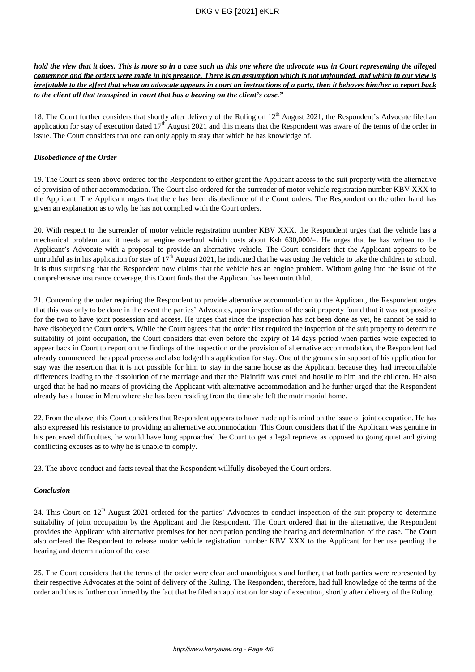*hold the view that it does. This is more so in a case such as this one where the advocate was in Court representing the alleged contemnor and the orders were made in his presence. There is an assumption which is not unfounded, and which in our view is irrefutable to the effect that when an advocate appears in court on instructions of a party, then it behoves him/her to report back to the client all that transpired in court that has a bearing on the client's case."*

18. The Court further considers that shortly after delivery of the Ruling on 12<sup>th</sup> August 2021, the Respondent's Advocate filed an application for stay of execution dated  $17<sup>th</sup>$  August 2021 and this means that the Respondent was aware of the terms of the order in issue. The Court considers that one can only apply to stay that which he has knowledge of.

### *Disobedience of the Order*

19. The Court as seen above ordered for the Respondent to either grant the Applicant access to the suit property with the alternative of provision of other accommodation. The Court also ordered for the surrender of motor vehicle registration number KBV XXX to the Applicant. The Applicant urges that there has been disobedience of the Court orders. The Respondent on the other hand has given an explanation as to why he has not complied with the Court orders.

20. With respect to the surrender of motor vehicle registration number KBV XXX, the Respondent urges that the vehicle has a mechanical problem and it needs an engine overhaul which costs about Ksh 630,000/=. He urges that he has written to the Applicant's Advocate with a proposal to provide an alternative vehicle. The Court considers that the Applicant appears to be untruthful as in his application for stay of  $17<sup>th</sup>$  August 2021, he indicated that he was using the vehicle to take the children to school. It is thus surprising that the Respondent now claims that the vehicle has an engine problem. Without going into the issue of the comprehensive insurance coverage, this Court finds that the Applicant has been untruthful.

21. Concerning the order requiring the Respondent to provide alternative accommodation to the Applicant, the Respondent urges that this was only to be done in the event the parties' Advocates, upon inspection of the suit property found that it was not possible for the two to have joint possession and access. He urges that since the inspection has not been done as yet, he cannot be said to have disobeyed the Court orders. While the Court agrees that the order first required the inspection of the suit property to determine suitability of joint occupation, the Court considers that even before the expiry of 14 days period when parties were expected to appear back in Court to report on the findings of the inspection or the provision of alternative accommodation, the Respondent had already commenced the appeal process and also lodged his application for stay. One of the grounds in support of his application for stay was the assertion that it is not possible for him to stay in the same house as the Applicant because they had irreconcilable differences leading to the dissolution of the marriage and that the Plaintiff was cruel and hostile to him and the children. He also urged that he had no means of providing the Applicant with alternative accommodation and he further urged that the Respondent already has a house in Meru where she has been residing from the time she left the matrimonial home.

22. From the above, this Court considers that Respondent appears to have made up his mind on the issue of joint occupation. He has also expressed his resistance to providing an alternative accommodation. This Court considers that if the Applicant was genuine in his perceived difficulties, he would have long approached the Court to get a legal reprieve as opposed to going quiet and giving conflicting excuses as to why he is unable to comply.

23. The above conduct and facts reveal that the Respondent willfully disobeyed the Court orders.

### *Conclusion*

24. This Court on  $12<sup>th</sup>$  August 2021 ordered for the parties' Advocates to conduct inspection of the suit property to determine suitability of joint occupation by the Applicant and the Respondent. The Court ordered that in the alternative, the Respondent provides the Applicant with alternative premises for her occupation pending the hearing and determination of the case. The Court also ordered the Respondent to release motor vehicle registration number KBV XXX to the Applicant for her use pending the hearing and determination of the case.

25. The Court considers that the terms of the order were clear and unambiguous and further, that both parties were represented by their respective Advocates at the point of delivery of the Ruling. The Respondent, therefore, had full knowledge of the terms of the order and this is further confirmed by the fact that he filed an application for stay of execution, shortly after delivery of the Ruling.